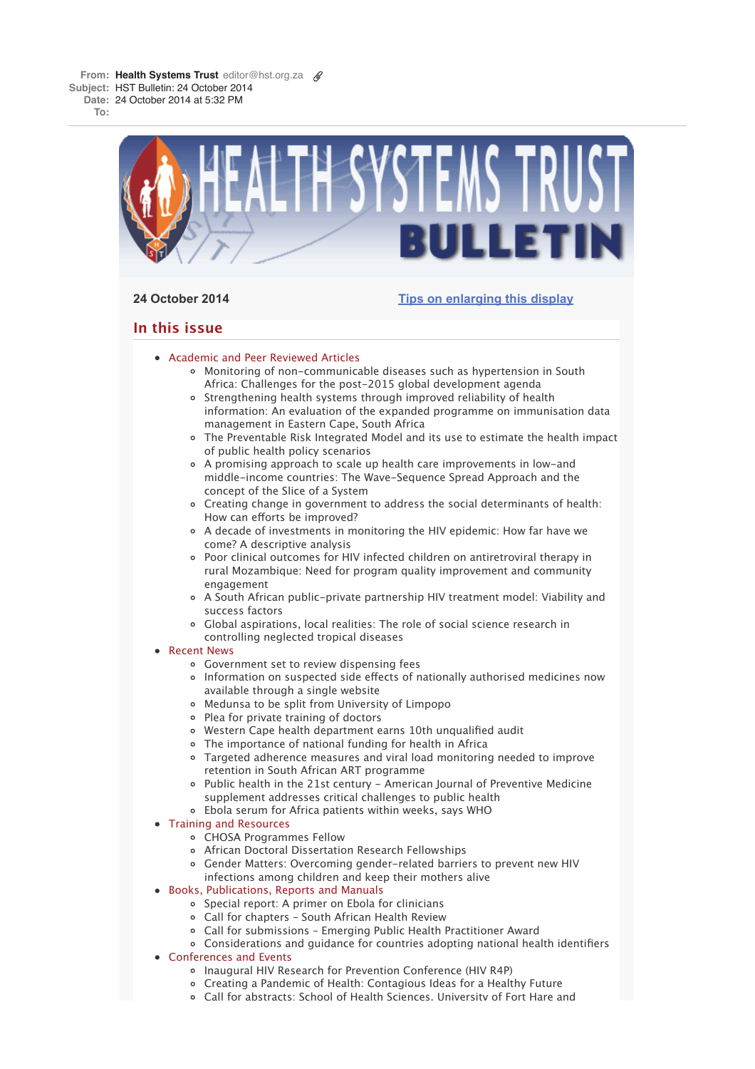**From: Health Systems Trust** editor@hst.org.za **Subject:** HST Bulletin: 24 October 2014 **Date:** 24 October 2014 at 5:32 PM

**To:**



# **24 October 2014 Tips on enlarging this display**

# **In this issue**

- Academic and Peer Reviewed Articles
	- Monitoring of non-communicable diseases such as hypertension in South Africa: Challenges for the post-2015 global development agenda
	- Strengthening health systems through improved reliability of health information: An evaluation of the expanded programme on immunisation data management in Eastern Cape, South Africa
	- The Preventable Risk Integrated Model and its use to estimate the health impact of public health policy scenarios
	- A promising approach to scale up health care improvements in low-and middle-income countries: The Wave-Sequence Spread Approach and the concept of the Slice of a System
	- Creating change in government to address the social determinants of health: How can efforts be improved?
	- A decade of investments in monitoring the HIV epidemic: How far have we come? A descriptive analysis
	- Poor clinical outcomes for HIV infected children on antiretroviral therapy in rural Mozambique: Need for program quality improvement and community engagement
	- A South African public-private partnership HIV treatment model: Viability and success factors
	- Global aspirations, local realities: The role of social science research in controlling neglected tropical diseases
- Recent News
	- Government set to review dispensing fees
	- Information on suspected side effects of nationally authorised medicines now available through a single website
	- Medunsa to be split from University of Limpopo
	- Plea for private training of doctors
	- Western Cape health department earns 10th unqualified audit
	- The importance of national funding for health in Africa
	- Targeted adherence measures and viral load monitoring needed to improve retention in South African ART programme
	- Public health in the 21st century American Journal of Preventive Medicine supplement addresses critical challenges to public health
	- Ebola serum for Africa patients within weeks, says WHO
- Training and Resources
	- CHOSA Programmes Fellow
	- African Doctoral Dissertation Research Fellowships
	- Gender Matters: Overcoming gender-related barriers to prevent new HIV infections among children and keep their mothers alive
- Books, Publications, Reports and Manuals
	- o Special report: A primer on Ebola for clinicians
	- Call for chapters South African Health Review
	- Call for submissions Emerging Public Health Practitioner Award
	- Considerations and guidance for countries adopting national health identifiers
- Conferences and Events
	- Inaugural HIV Research for Prevention Conference (HIV R4P)
	- Creating a Pandemic of Health: Contagious Ideas for a Healthy Future
	- Call for abstracts: School of Health Sciences, University of Fort Hare and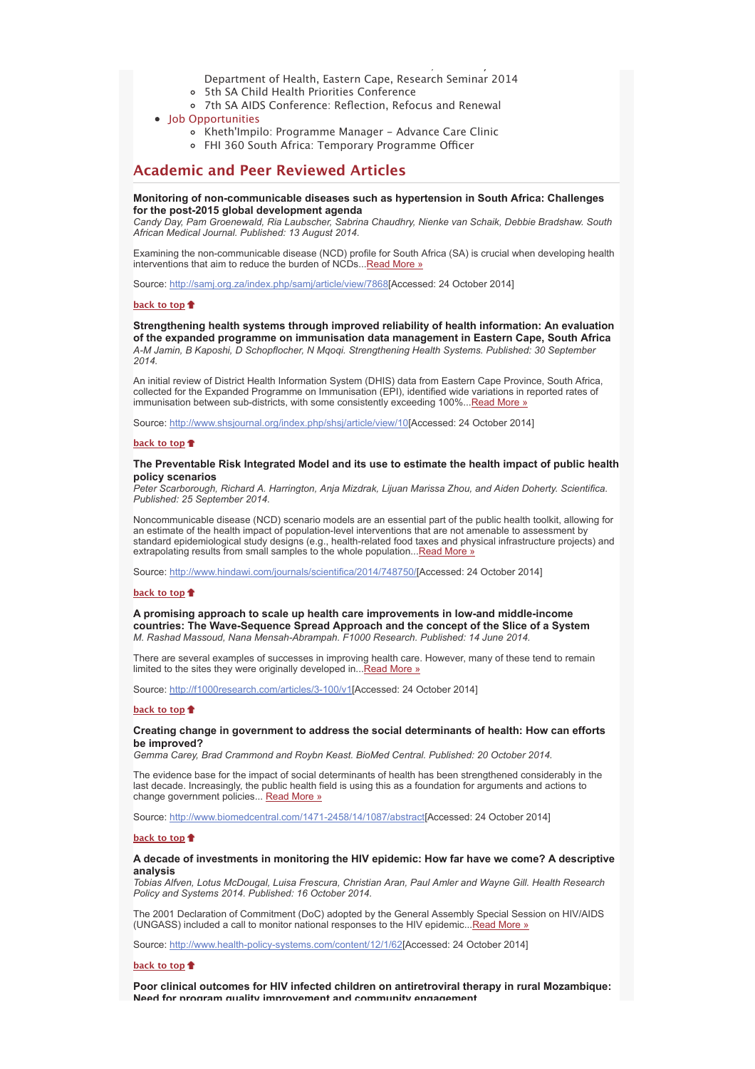Department of Health, Eastern Cape, Research Seminar 2014

, where  $y = y$ 

- 5th SA Child Health Priorities Conference  $\circ$
- 7th SA AIDS Conference: Reflection, Refocus and Renewal
- Job Opportunities
	- Kheth'Impilo: Programme Manager Advance Care Clinic
	- FHI 360 South Africa: Temporary Programme Officer

## **Academic and Peer Reviewed Articles**

## **Monitoring of non-communicable diseases such as hypertension in South Africa: Challenges for the post-2015 global development agenda**

*Candy Day, Pam Groenewald, Ria Laubscher, Sabrina Chaudhry, Nienke van Schaik, Debbie Bradshaw. South African Medical Journal. Published: 13 August 2014.*

Examining the non-communicable disease (NCD) profile for South Africa (SA) is crucial when developing health interventions that aim to reduce the burden of NCDs...Read More »

Source: http://samj.org.za/index.php/samj/article/view/7868[Accessed: 24 October 2014]

### **back to top**

### **Strengthening health systems through improved reliability of health information: An evaluation of the expanded programme on immunisation data management in Eastern Cape, South Africa** *A-M Jamin, B Kaposhi, D Schopflocher, N Mqoqi. Strengthening Health Systems. Published: 30 September 2014.*

An initial review of District Health Information System (DHIS) data from Eastern Cape Province, South Africa, collected for the Expanded Programme on Immunisation (EPI), identified wide variations in reported rates of immunisation between sub-districts, with some consistently exceeding 100%...Read More »

Source: http://www.shsjournal.org/index.php/shsj/article/view/10[Accessed: 24 October 2014]

### **back to top**

## **The Preventable Risk Integrated Model and its use to estimate the health impact of public health policy scenarios**

*Peter Scarborough, Richard A. Harrington, Anja Mizdrak, Lijuan Marissa Zhou, and Aiden Doherty. Scientifica. Published: 25 September 2014.*

Noncommunicable disease (NCD) scenario models are an essential part of the public health toolkit, allowing for an estimate of the health impact of population-level interventions that are not amenable to assessment by standard epidemiological study designs (e.g., health-related food taxes and physical infrastructure projects) and extrapolating results from small samples to the whole population... Read More »

Source: http://www.hindawi.com/journals/scientifica/2014/748750/[Accessed: 24 October 2014]

### **back to top**

**A promising approach to scale up health care improvements in low-and middle-income countries: The Wave-Sequence Spread Approach and the concept of the Slice of a System** *M. Rashad Massoud, Nana Mensah-Abrampah. F1000 Research. Published: 14 June 2014.*

There are several examples of successes in improving health care. However, many of these tend to remain limited to the sites they were originally developed in... Read More »

Source: http://f1000research.com/articles/3-100/v1[Accessed: 24 October 2014]

#### **back to top**

## **Creating change in government to address the social determinants of health: How can efforts be improved?**

*Gemma Carey, Brad Crammond and Roybn Keast. BioMed Central. Published: 20 October 2014.*

The evidence base for the impact of social determinants of health has been strengthened considerably in the last decade. Increasingly, the public health field is using this as a foundation for arguments and actions to change government policies... Read More »

Source: http://www.biomedcentral.com/1471-2458/14/1087/abstract[Accessed: 24 October 2014]

### **back to top**

## **A decade of investments in monitoring the HIV epidemic: How far have we come? A descriptive analysis**

*Tobias Alfven, Lotus McDougal, Luisa Frescura, Christian Aran, Paul Amler and Wayne Gill. Health Research Policy and Systems 2014. Published: 16 October 2014.*

The 2001 Declaration of Commitment (DoC) adopted by the General Assembly Special Session on HIV/AIDS (UNGASS) included a call to monitor national responses to the HIV epidemic...Read More »

Source: http://www.health-policy-systems.com/content/12/1/62[Accessed: 24 October 2014]

## **back to top**

**Poor clinical outcomes for HIV infected children on antiretroviral therapy in rural Mozambique: Need for program quality improvement and community engagement**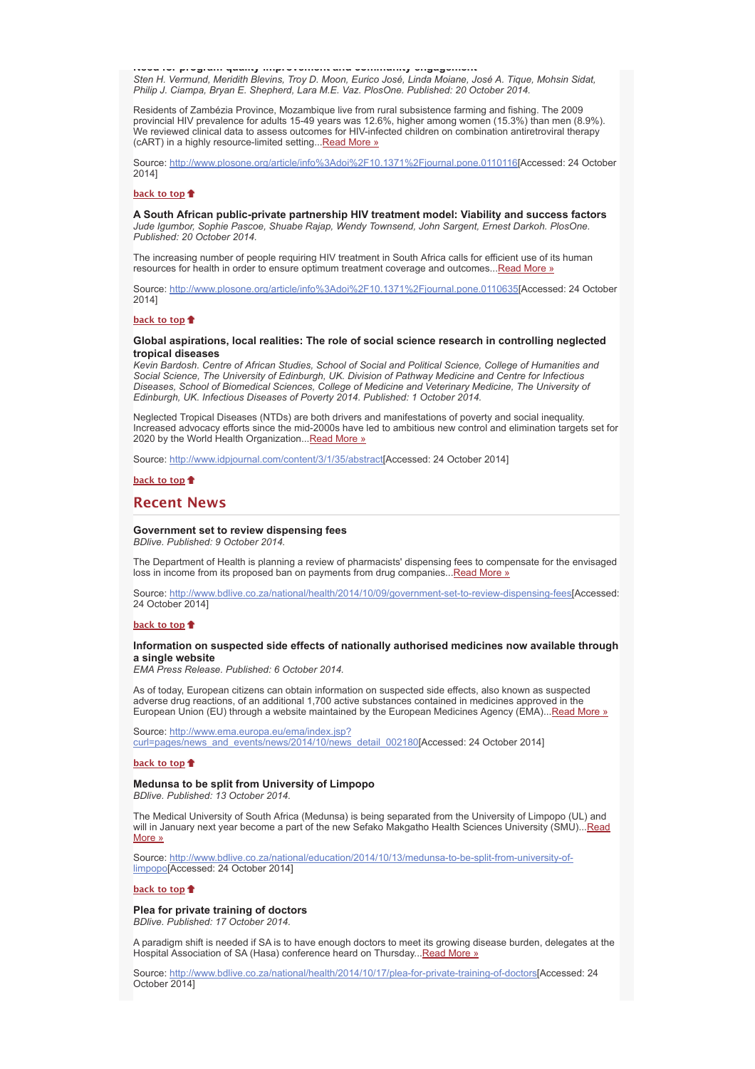**Need for program quality improvement and community engagement** *Sten H. Vermund, Meridith Blevins, Troy D. Moon, Eurico José, Linda Moiane, José A. Tique, Mohsin Sidat, Philip J. Ciampa, Bryan E. Shepherd, Lara M.E. Vaz. PlosOne. Published: 20 October 2014.*

Residents of Zambézia Province, Mozambique live from rural subsistence farming and fishing. The 2009 provincial HIV prevalence for adults 15-49 years was 12.6%, higher among women (15.3%) than men (8.9%). We reviewed clinical data to assess outcomes for HIV-infected children on combination antiretroviral therapy (cART) in a highly resource-limited setting... Read More »

Source: http://www.plosone.org/article/info%3Adoi%2F10.1371%2Fjournal.pone.0110116[Accessed: 24 October 2014]

## **back to top**

**A South African public-private partnership HIV treatment model: Viability and success factors** *Jude Igumbor, Sophie Pascoe, Shuabe Rajap, Wendy Townsend, John Sargent, Ernest Darkoh. PlosOne. Published: 20 October 2014.*

The increasing number of people requiring HIV treatment in South Africa calls for efficient use of its human resources for health in order to ensure optimum treatment coverage and outcomes... Read More »

Source: http://www.plosone.org/article/info%3Adoi%2F10.1371%2Fjournal.pone.0110635[Accessed: 24 October 2014]

### **back to top**

## **Global aspirations, local realities: The role of social science research in controlling neglected tropical diseases**

*Kevin Bardosh. Centre of African Studies, School of Social and Political Science, College of Humanities and Social Science, The University of Edinburgh, UK. Division of Pathway Medicine and Centre for Infectious Diseases, School of Biomedical Sciences, College of Medicine and Veterinary Medicine, The University of Edinburgh, UK. Infectious Diseases of Poverty 2014. Published: 1 October 2014.*

Neglected Tropical Diseases (NTDs) are both drivers and manifestations of poverty and social inequality. Increased advocacy efforts since the mid-2000s have led to ambitious new control and elimination targets set for 2020 by the World Health Organization... Read More »

Source: http://www.idpjournal.com/content/3/1/35/abstract[Accessed: 24 October 2014]

## **back to top**

## **Recent News**

## **Government set to review dispensing fees**

*BDlive. Published: 9 October 2014.*

The Department of Health is planning a review of pharmacists' dispensing fees to compensate for the envisaged loss in income from its proposed ban on payments from drug companies... Read More »

Source: http://www.bdlive.co.za/national/health/2014/10/09/government-set-to-review-dispensing-fees[Accessed: 24 October 2014]

### **back to top**

## **Information on suspected side effects of nationally authorised medicines now available through a single website**

*EMA Press Release. Published: 6 October 2014.*

As of today, European citizens can obtain information on suspected side effects, also known as suspected adverse drug reactions, of an additional 1,700 active substances contained in medicines approved in the European Union (EU) through a website maintained by the European Medicines Agency (EMA)...Read More »

Source: http://www.ema.europa.eu/ema/index.jsp? curl=pages/news\_and\_events/news/2014/10/news\_detail\_002180[Accessed: 24 October 2014]

## **back to top**

### **Medunsa to be split from University of Limpopo** *BDlive. Published: 13 October 2014.*

The Medical University of South Africa (Medunsa) is being separated from the University of Limpopo (UL) and will in January next year become a part of the new Sefako Makgatho Health Sciences University (SMU)...Read More »

Source: http://www.bdlive.co.za/national/education/2014/10/13/medunsa-to-be-split-from-university-oflimpopo[Accessed: 24 October 2014]

### **back to top**

**Plea for private training of doctors** *BDlive. Published: 17 October 2014.*

A paradigm shift is needed if SA is to have enough doctors to meet its growing disease burden, delegates at the Hospital Association of SA (Hasa) conference heard on Thursday... Read More »

Source: http://www.bdlive.co.za/national/health/2014/10/17/plea-for-private-training-of-doctors[Accessed: 24 October 2014]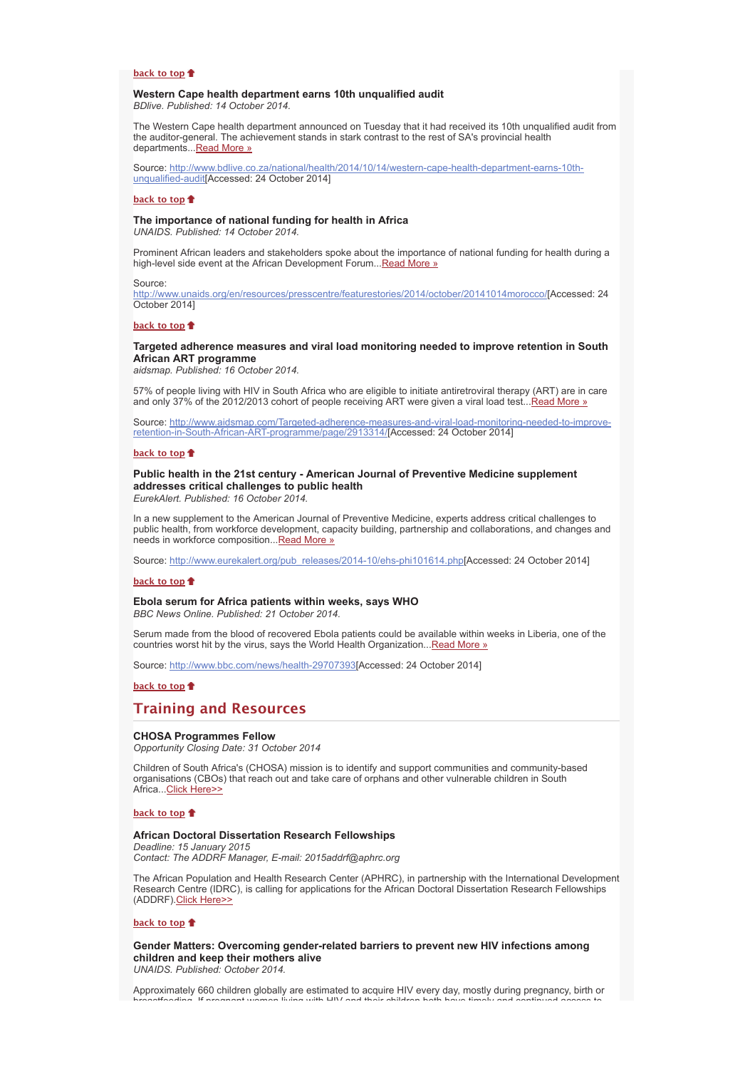### **back to top**

### **Western Cape health department earns 10th unqualified audit** *BDlive. Published: 14 October 2014.*

The Western Cape health department announced on Tuesday that it had received its 10th unqualified audit from the auditor-general. The achievement stands in stark contrast to the rest of SA's provincial health departments... Read More »

Source: http://www.bdlive.co.za/national/health/2014/10/14/western-cape-health-department-earns-10thunqualified-audit[Accessed: 24 October 2014]

### **back to top**

### **The importance of national funding for health in Africa**

*UNAIDS. Published: 14 October 2014.*

Prominent African leaders and stakeholders spoke about the importance of national funding for health during a high-level side event at the African Development Forum... Read More »

### Source:

http://www.unaids.org/en/resources/presscentre/featurestories/2014/october/20141014morocco/[Accessed: 24 October 2014]

## **back to top**

## **Targeted adherence measures and viral load monitoring needed to improve retention in South African ART programme**

*aidsmap. Published: 16 October 2014.*

57% of people living with HIV in South Africa who are eligible to initiate antiretroviral therapy (ART) are in care and only 37% of the 2012/2013 cohort of people receiving ART were given a viral load test... Read More  $\alpha$ 

Source: http://www.aidsmap.com/Targeted-adherence-measures-and-viral-load-monitoring-needed-to-improveretention-in-South-African-ART-programme/page/2913314/[Accessed: 24 October 2014]

### **back to top**

# **Public health in the 21st century - American Journal of Preventive Medicine supplement addresses critical challenges to public health**

*EurekAlert. Published: 16 October 2014.*

In a new supplement to the American Journal of Preventive Medicine, experts address critical challenges to public health, from workforce development, capacity building, partnership and collaborations, and changes and needs in workforce composition...Read More »

Source: http://www.eurekalert.org/pub\_releases/2014-10/ehs-phi101614.php[Accessed: 24 October 2014]

## **back to top**

# **Ebola serum for Africa patients within weeks, says WHO**

*BBC News Online. Published: 21 October 2014.*

Serum made from the blood of recovered Ebola patients could be available within weeks in Liberia, one of the countries worst hit by the virus, says the World Health Organization...Read More »

Source: http://www.bbc.com/news/health-29707393[Accessed: 24 October 2014]

## **back to top**

## **Training and Resources**

## **CHOSA Programmes Fellow**

*Opportunity Closing Date: 31 October 2014*

Children of South Africa's (CHOSA) mission is to identify and support communities and community-based organisations (CBOs) that reach out and take care of orphans and other vulnerable children in South Africa...Click Here>>

## **back to top**

### **African Doctoral Dissertation Research Fellowships**

*Deadline: 15 January 2015 Contact: The ADDRF Manager, E-mail: 2015addrf@aphrc.org*

The African Population and Health Research Center (APHRC), in partnership with the International Development Research Centre (IDRC), is calling for applications for the African Doctoral Dissertation Research Fellowships (ADDRF).Click Here>>

## **back to top**

**Gender Matters: Overcoming gender-related barriers to prevent new HIV infections among children and keep their mothers alive**

*UNAIDS. Published: October 2014.*

Approximately 660 children globally are estimated to acquire HIV every day, mostly during pregnancy, birth or breastfeeding If pregnant women living with HIV and their children both have timely and continued access to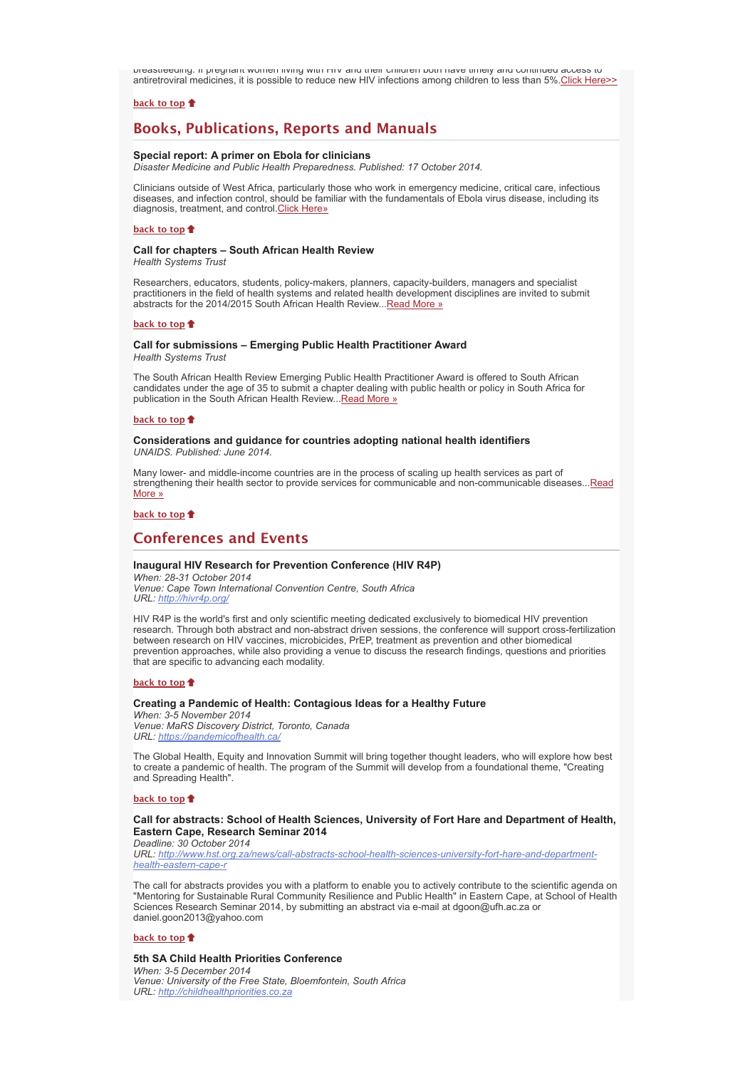breastfeeding. If pregnant women living with HIV and their children both have timely and continued access to antiretroviral medicines, it is possible to reduce new HIV infections among children to less than 5%. Click Here>>

## **back to top**

# **Books, Publications, Reports and Manuals**

### **Special report: A primer on Ebola for clinicians**

*Disaster Medicine and Public Health Preparedness. Published: 17 October 2014.*

Clinicians outside of West Africa, particularly those who work in emergency medicine, critical care, infectious diseases, and infection control, should be familiar with the fundamentals of Ebola virus disease, including its diagnosis, treatment, and control. Click Here»

### **back to top**

## **Call for chapters – South African Health Review** *Health Systems Trust*

Researchers, educators, students, policy-makers, planners, capacity-builders, managers and specialist practitioners in the field of health systems and related health development disciplines are invited to submit abstracts for the 2014/2015 South African Health Review... Read More »

## **back to top**

# **Call for submissions – Emerging Public Health Practitioner Award**

*Health Systems Trust*

The South African Health Review Emerging Public Health Practitioner Award is offered to South African candidates under the age of 35 to submit a chapter dealing with public health or policy in South Africa for publication in the South African Health Review...Read More »

#### **back to top**

### **Considerations and guidance for countries adopting national health identifiers** *UNAIDS. Published: June 2014.*

Many lower- and middle-income countries are in the process of scaling up health services as part of strengthening their health sector to provide services for communicable and non-communicable diseases...Read More »

### **back to top**

# **Conferences and Events**

### **Inaugural HIV Research for Prevention Conference (HIV R4P)**

*When: 28-31 October 2014 Venue: Cape Town International Convention Centre, South Africa URL: http://hivr4p.org/*

HIV R4P is the world's first and only scientific meeting dedicated exclusively to biomedical HIV prevention research. Through both abstract and non-abstract driven sessions, the conference will support cross-fertilization between research on HIV vaccines, microbicides, PrEP, treatment as prevention and other biomedical prevention approaches, while also providing a venue to discuss the research findings, questions and priorities that are specific to advancing each modality.

#### **back to top**

## **Creating a Pandemic of Health: Contagious Ideas for a Healthy Future**

*When: 3-5 November 2014 Venue: MaRS Discovery District, Toronto, Canada URL: https://pandemicofhealth.ca/*

The Global Health, Equity and Innovation Summit will bring together thought leaders, who will explore how best to create a pandemic of health. The program of the Summit will develop from a foundational theme, "Creating and Spreading Health".

### **back to top**

## **Call for abstracts: School of Health Sciences, University of Fort Hare and Department of Health, Eastern Cape, Research Seminar 2014**

*Deadline: 30 October 2014 URL: http://www.hst.org.za/news/call-abstracts-school-health-sciences-university-fort-hare-and-departmenthealth-eastern-cape-r*

The call for abstracts provides you with a platform to enable you to actively contribute to the scientific agenda on "Mentoring for Sustainable Rural Community Resilience and Public Health" in Eastern Cape, at School of Health Sciences Research Seminar 2014, by submitting an abstract via e-mail at dgoon@ufh.ac.za or daniel.goon2013@yahoo.com

### **back to top**

**5th SA Child Health Priorities Conference** *When: 3-5 December 2014 Venue: University of the Free State, Bloemfontein, South Africa URL: http://childhealthpriorities.co.za*